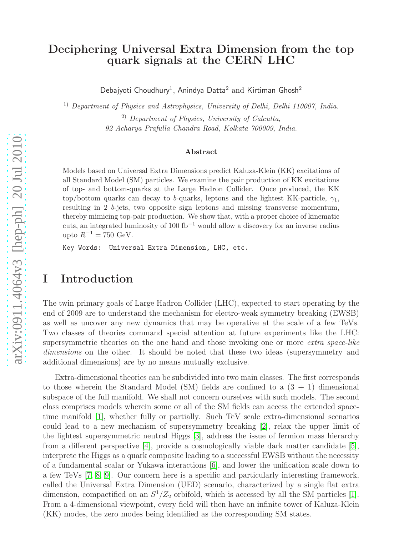### Deciphering Universal Extra Dimension from the top quark signals at the CERN LHC

Debajyoti Choudhury<sup>1</sup>, Anindya Datta<sup>2</sup> and Kirtiman Ghosh<sup>2</sup>

<sup>1)</sup> Department of Physics and Astrophysics, University of Delhi, Delhi 110007, India.

 $^{2)}$  Department of Physics, University of Calcutta, 92 Acharya Prafulla Chandra Road, Kolkata 700009, India.

#### Abstract

Models based on Universal Extra Dimensions predict Kaluza-Klein (KK) excitations of all Standard Model (SM) particles. We examine the pair production of KK excitations of top- and bottom-quarks at the Large Hadron Collider. Once produced, the KK top/bottom quarks can decay to b-quarks, leptons and the lightest KK-particle,  $\gamma_1$ , resulting in 2 b-jets, two opposite sign leptons and missing transverse momentum, thereby mimicing top-pair production. We show that, with a proper choice of kinematic cuts, an integrated luminosity of  $100 \text{ fb}^{-1}$  would allow a discovery for an inverse radius upto  $R^{-1} = 750 \text{ GeV}.$ 

Key Words: Universal Extra Dimension, LHC, etc.

### I Introduction

The twin primary goals of Large Hadron Collider (LHC), expected to start operating by the end of 2009 are to understand the mechanism for electro-weak symmetry breaking (EWSB) as well as uncover any new dynamics that may be operative at the scale of a few TeVs. Two classes of theories command special attention at future experiments like the LHC: supersymmetric theories on the one hand and those invoking one or more extra space-like dimensions on the other. It should be noted that these two ideas (supersymmetry and additional dimensions) are by no means mutually exclusive.

Extra-dimensional theories can be subdivided into two main classes. The first corresponds to those wherein the Standard Model (SM) fields are confined to a  $(3 + 1)$  dimensional subspace of the full manifold. We shall not concern ourselves with such models. The second class comprises models wherein some or all of the SM fields can access the extended spacetime manifold [\[1\]](#page-15-0), whether fully or partially. Such TeV scale extra-dimensional scenarios could lead to a new mechanism of supersymmetry breaking [\[2\]](#page-15-1), relax the upper limit of the lightest supersymmetric neutral Higgs [\[3\]](#page-15-2), address the issue of fermion mass hierarchy from a different perspective [\[4\]](#page-15-3), provide a cosmologically viable dark matter candidate [\[5\]](#page-15-4), interprete the Higgs as a quark composite leading to a successful EWSB without the necessity of a fundamental scalar or Yukawa interactions [\[6\]](#page-15-5), and lower the unification scale down to a few TeVs [\[7,](#page-16-0) [8,](#page-16-1) [9\]](#page-16-2). Our concern here is a specific and particularly interesting framework, called the Universal Extra Dimension (UED) scenario, characterized by a single flat extra dimension, compactified on an  $S^1/Z_2$  orbifold, which is accessed by all the SM particles [\[1\]](#page-15-0). From a 4-dimensional viewpoint, every field will then have an infinite tower of Kaluza-Klein (KK) modes, the zero modes being identified as the corresponding SM states.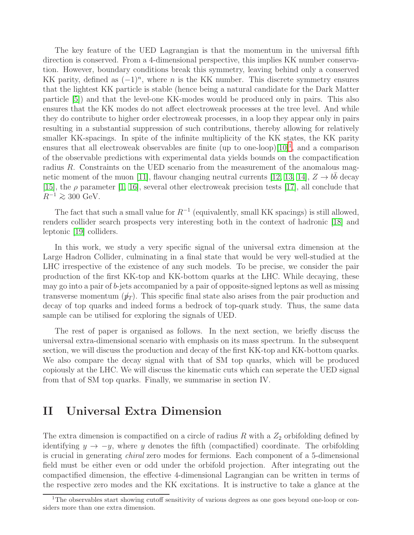The key feature of the UED Lagrangian is that the momentum in the universal fifth direction is conserved. From a 4-dimensional perspective, this implies KK number conservation. However, boundary conditions break this symmetry, leaving behind only a conserved KK parity, defined as  $(-1)^n$ , where n is the KK number. This discrete symmetry ensures that the lightest KK particle is stable (hence being a natural candidate for the Dark Matter particle [\[5\]](#page-15-4)) and that the level-one KK-modes would be produced only in pairs. This also ensures that the KK modes do not affect electroweak processes at the tree level. And while they do contribute to higher order electroweak processes, in a loop they appear only in pairs resulting in a substantial suppression of such contributions, thereby allowing for relatively smaller KK-spacings. In spite of the infinite multiplicity of the KK states, the KK parity ensures that all electroweak observables are finite (up to one-loop) $[10]^1$  $[10]^1$  $[10]^1$ , and a comparison of the observable predictions with experimental data yields bounds on the compactification radius R. Constraints on the UED scenario from the measurement of the anomalous mag-netic moment of the muon [\[11\]](#page-16-4), flavour changing neutral currents [\[12,](#page-16-5) [13,](#page-16-6) [14\]](#page-16-7),  $Z \to b\bar{b}$  decay [\[15\]](#page-16-8), the  $\rho$  parameter [\[1,](#page-15-0) [16\]](#page-16-9), several other electroweak precision tests [\[17\]](#page-16-10), all conclude that  $R^{-1} \gtrsim 300 \text{ GeV}.$ 

The fact that such a small value for  $R^{-1}$  (equivalently, small KK spacings) is still allowed, renders collider search prospects very interesting both in the context of hadronic [\[18\]](#page-16-11) and leptonic [\[19\]](#page-16-12) colliders.

In this work, we study a very specific signal of the universal extra dimension at the Large Hadron Collider, culminating in a final state that would be very well-studied at the LHC irrespective of the existence of any such models. To be precise, we consider the pair production of the first KK-top and KK-bottom quarks at the LHC. While decaying, these may go into a pair of b-jets accompanied by a pair of opposite-signed leptons as well as missing transverse momentum  $(\psi_T)$ . This specific final state also arises from the pair production and decay of top quarks and indeed forms a bedrock of top-quark study. Thus, the same data sample can be utilised for exploring the signals of UED.

The rest of paper is organised as follows. In the next section, we briefly discuss the universal extra-dimensional scenario with emphasis on its mass spectrum. In the subsequent section, we will discuss the production and decay of the first KK-top and KK-bottom quarks. We also compare the decay signal with that of SM top quarks, which will be produced copiously at the LHC. We will discuss the kinematic cuts which can seperate the UED signal from that of SM top quarks. Finally, we summarise in section IV.

## II Universal Extra Dimension

The extra dimension is compactified on a circle of radius R with a  $Z_2$  orbifolding defined by identifying  $y \to -y$ , where y denotes the fifth (compactified) coordinate. The orbifolding is crucial in generating chiral zero modes for fermions. Each component of a 5-dimensional field must be either even or odd under the orbifold projection. After integrating out the compactified dimension, the effective 4-dimensional Lagrangian can be written in terms of the respective zero modes and the KK excitations. It is instructive to take a glance at the

<span id="page-1-0"></span><sup>&</sup>lt;sup>1</sup>The observables start showing cutoff sensitivity of various degrees as one goes beyond one-loop or considers more than one extra dimension.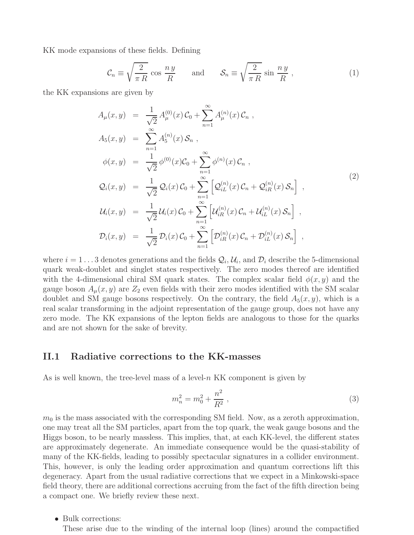KK mode expansions of these fields. Defining

$$
\mathcal{C}_n \equiv \sqrt{\frac{2}{\pi R}} \cos \frac{n y}{R} \quad \text{and} \quad \mathcal{S}_n \equiv \sqrt{\frac{2}{\pi R}} \sin \frac{n y}{R} , \qquad (1)
$$

the KK expansions are given by

<span id="page-2-0"></span>
$$
A_{\mu}(x, y) = \frac{1}{\sqrt{2}} A_{\mu}^{(0)}(x) C_0 + \sum_{n=1}^{\infty} A_{\mu}^{(n)}(x) C_n ,
$$
  
\n
$$
A_5(x, y) = \sum_{n=1}^{\infty} A_5^{(n)}(x) S_n ,
$$
  
\n
$$
\phi(x, y) = \frac{1}{\sqrt{2}} \phi^{(0)}(x) C_0 + \sum_{n=1}^{\infty} \phi^{(n)}(x) C_n ,
$$
  
\n
$$
Q_i(x, y) = \frac{1}{\sqrt{2}} Q_i(x) C_0 + \sum_{n=1}^{\infty} \left[ Q_{iL}^{(n)}(x) C_n + Q_{iR}^{(n)}(x) S_n \right],
$$
  
\n
$$
U_i(x, y) = \frac{1}{\sqrt{2}} U_i(x) C_0 + \sum_{n=1}^{\infty} \left[ U_{iR}^{(n)}(x) C_n + U_{iL}^{(n)}(x) S_n \right],
$$
  
\n
$$
D_i(x, y) = \frac{1}{\sqrt{2}} D_i(x) C_0 + \sum_{n=1}^{\infty} \left[ D_{iR}^{(n)}(x) C_n + D_{iL}^{(n)}(x) S_n \right],
$$
\n
$$
(2)
$$

where  $i = 1 \dots 3$  denotes generations and the fields  $\mathcal{Q}_i$ ,  $\mathcal{U}_i$ , and  $\mathcal{D}_i$  describe the 5-dimensional quark weak-doublet and singlet states respectively. The zero modes thereof are identified with the 4-dimensional chiral SM quark states. The complex scalar field  $\phi(x, y)$  and the gauge boson  $A_\mu(x, y)$  are  $Z_2$  even fields with their zero modes identified with the SM scalar doublet and SM gauge bosons respectively. On the contrary, the field  $A_5(x, y)$ , which is a real scalar transforming in the adjoint representation of the gauge group, does not have any zero mode. The KK expansions of the lepton fields are analogous to those for the quarks and are not shown for the sake of brevity.

### II.1 Radiative corrections to the KK-masses

As is well known, the tree-level mass of a level- $n$  KK component is given by

$$
m_n^2 = m_0^2 + \frac{n^2}{R^2} \,,\tag{3}
$$

 $m<sub>0</sub>$  is the mass associated with the corresponding SM field. Now, as a zeroth approximation, one may treat all the SM particles, apart from the top quark, the weak gauge bosons and the Higgs boson, to be nearly massless. This implies, that, at each KK-level, the different states are approximately degenerate. An immediate consequence would be the quasi-stability of many of the KK-fields, leading to possibly spectacular signatures in a collider environment. This, however, is only the leading order approximation and quantum corrections lift this degeneracy. Apart from the usual radiative corrections that we expect in a Minkowski-space field theory, there are additional corrections accruing from the fact of the fifth direction being a compact one. We briefly review these next.

• Bulk corrections:

These arise due to the winding of the internal loop (lines) around the compactified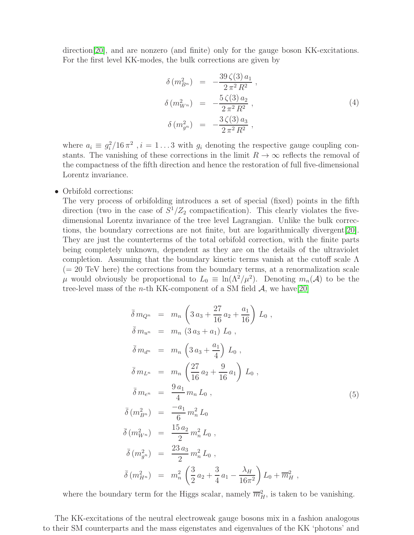direction<sup>[\[20\]](#page-16-13)</sup>, and are nonzero (and finite) only for the gauge boson KK-excitations. For the first level KK-modes, the bulk corrections are given by

<span id="page-3-1"></span>
$$
\delta(m_{B^n}^2) = -\frac{39 \zeta(3) a_1}{2 \pi^2 R^2}, \n\delta(m_{W^n}^2) = -\frac{5 \zeta(3) a_2}{2 \pi^2 R^2}, \n\delta(m_{g^n}^2) = -\frac{3 \zeta(3) a_3}{2 \pi^2 R^2},
$$
\n(4)

where  $a_i \equiv g_i^2/16 \pi^2$ ,  $i = 1...3$  with  $g_i$  denoting the respective gauge coupling constants. The vanishing of these corrections in the limit  $R \to \infty$  reflects the removal of the compactness of the fifth direction and hence the restoration of full five-dimensional Lorentz invariance.

• Orbifold corrections:

The very process of orbifolding introduces a set of special (fixed) points in the fifth direction (two in the case of  $S^1/Z_2$  compactification). This clearly violates the fivedimensional Lorentz invariance of the tree level Lagrangian. Unlike the bulk corrections, the boundary corrections are not finite, but are logarithmically divergent[\[20\]](#page-16-13). They are just the counterterms of the total orbifold correction, with the finite parts being completely unknown, dependent as they are on the details of the ultraviolet completion. Assuming that the boundary kinetic terms vanish at the cutoff scale Λ  $(= 20 \text{ TeV}$  here) the corrections from the boundary terms, at a renormalization scale  $\mu$  would obviously be proportional to  $L_0 \equiv \ln(\Lambda^2/\mu^2)$ . Denoting  $m_n(\mathcal{A})$  to be the tree-level mass of the *n*-th KK-component of a SM field  $\mathcal{A}$ , we have [\[20\]](#page-16-13)

<span id="page-3-0"></span>
$$
\begin{aligned}\n\bar{\delta} \, m_{Q^n} &= m_n \left( 3 \, a_3 + \frac{27}{16} \, a_2 + \frac{a_1}{16} \right) \, L_0 \,, \\
\bar{\delta} \, m_{u^n} &= m_n \left( 3 \, a_3 + a_1 \right) \, L_0 \,, \\
\bar{\delta} \, m_{d^n} &= m_n \left( 3 \, a_3 + \frac{a_1}{4} \right) \, L_0 \,, \\
\bar{\delta} \, m_{L^n} &= m_n \left( \frac{27}{16} \, a_2 + \frac{9}{16} \, a_1 \right) \, L_0 \,, \\
\bar{\delta} \, m_{e^n} &= \frac{9 \, a_1}{4} \, m_n \, L_0 \,, \\
\bar{\delta} \, (m_{B^n}^2) &= \frac{-a_1}{6} \, m_n^2 \, L_0 \\
\bar{\delta} \, (m_{W^n}^2) &= \frac{15 \, a_2}{2} \, m_n^2 \, L_0 \,, \\
\bar{\delta} \, (m_{g^n}^2) &= \frac{23 \, a_3}{2} \, m_n^2 \, L_0 \,, \\
\bar{\delta} \, (m_{H^n}^2) &= m_n^2 \left( \frac{3}{2} \, a_2 + \frac{3}{4} \, a_1 - \frac{\lambda_H}{16 \pi^2} \right) \, L_0 + \overline{m}_H^2 \,,\n\end{aligned}
$$

where the boundary term for the Higgs scalar, namely  $\overline{m}_{H}^2$ , is taken to be vanishing.

The KK-excitations of the neutral electroweak gauge bosons mix in a fashion analogous to their SM counterparts and the mass eigenstates and eigenvalues of the KK 'photons' and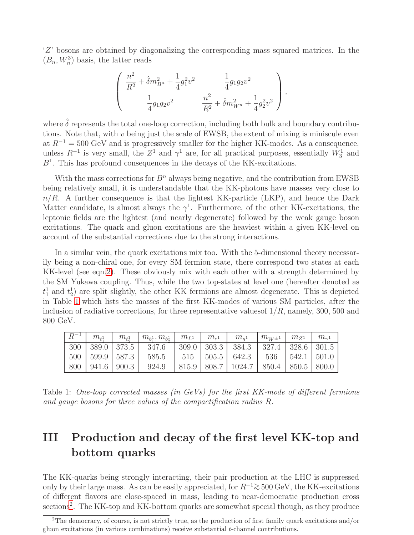'Z' bosons are obtained by diagonalizing the corresponding mass squared matrices. In the  $(B_n, W_n^3)$  basis, the latter reads

$$
\left(\begin{array}{cc} \frac{n^2}{R^2} + \hat{\delta}m_{B^n}^2 + \frac{1}{4}g_1^2v^2 & \frac{1}{4}g_1g_2v^2\\ \frac{1}{4}g_1g_2v^2 & \frac{n^2}{R^2} + \hat{\delta}m_{W^n}^2 + \frac{1}{4}g_2^2v^2 \end{array}\right),
$$

where  $\hat{\delta}$  represents the total one-loop correction, including both bulk and boundary contributions. Note that, with  $v$  being just the scale of EWSB, the extent of mixing is miniscule even at  $R^{-1} = 500 \text{ GeV}$  and is progressively smaller for the higher KK-modes. As a consequence, unless  $R^{-1}$  is very small, the  $Z^1$  and  $\gamma^1$  are, for all practical purposes, essentially  $W_3^1$  and  $B<sup>1</sup>$ . This has profound consequences in the decays of the KK-excitations.

With the mass corrections for  $B<sup>n</sup>$  always being negative, and the contribution from EWSB being relatively small, it is understandable that the KK-photons have masses very close to  $n/R$ . A further consequence is that the lightest KK-particle (LKP), and hence the Dark Matter candidate, is almost always the  $\gamma^1$ . Furthermore, of the other KK-excitations, the leptonic fields are the lightest (and nearly degenerate) followed by the weak gauge boson excitations. The quark and gluon excitations are the heaviest within a given KK-level on account of the substantial corrections due to the strong interactions.

In a similar vein, the quark excitations mix too. With the 5-dimensional theory necessarily being a non-chiral one, for every SM fermion state, there correspond two states at each KK-level (see eqn[.2\)](#page-2-0). These obviously mix with each other with a strength determined by the SM Yukawa coupling. Thus, while the two top-states at level one (hereafter denoted as  $t_1^1$  and  $t_2^1$  are split slightly, the other KK fermions are almost degenerate. This is depicted in Table [1](#page-4-0) which lists the masses of the first KK-modes of various SM particles, after the inclusion of radiative corrections, for three representative values of  $1/R$ , namely, 300, 500 and 800 GeV.

| $R^{-1}$ | $m_{\scriptscriptstyle\text{{F}}}$ | $m_{t_0}$ | $m_{b_1^1}, m_{b_2^1}$ | $m_{L^1}$ | $m_{e^1}$ | $m_{a1}$                                              | $m_{W^{\pm}}$ 1 | $m_{Z_1}$ | $m_{\gamma^1}$ |
|----------|------------------------------------|-----------|------------------------|-----------|-----------|-------------------------------------------------------|-----------------|-----------|----------------|
|          | 300   389.0   373.5                |           | 347.6                  |           |           | 309.0   303.3   384.3   327.4   328.6   301.5         |                 |           |                |
|          | $500 \mid 599.9 \mid 587.3 \mid$   |           | 585.5                  |           |           | $515$   $505.5$   $642.3$   $536$   $542.1$   $501.0$ |                 |           |                |
| 800      | $941.6$ 900.3                      |           | 924.9                  |           |           | 815.9   808.7   1024.7   850.4   850.5   800.0        |                 |           |                |

<span id="page-4-0"></span>Table 1: One-loop corrected masses (in GeVs) for the first KK-mode of different fermions and gauge bosons for three values of the compactification radius R.

# III Production and decay of the first level KK-top and bottom quarks

The KK-quarks being strongly interacting, their pair production at the LHC is suppressed only by their large mass. As can be easily appreciated, for  $R^{-1} \geq 500 \text{ GeV}$ , the KK-excitations of different flavors are close-spaced in mass, leading to near-democratic production cross sections<sup>[2](#page-4-1)</sup>. The KK-top and KK-bottom quarks are somewhat special though, as they produce

<span id="page-4-1"></span><sup>&</sup>lt;sup>2</sup>The democracy, of course, is not strictly true, as the production of first family quark excitations and/or gluon excitations (in various combinations) receive substantial t-channel contributions.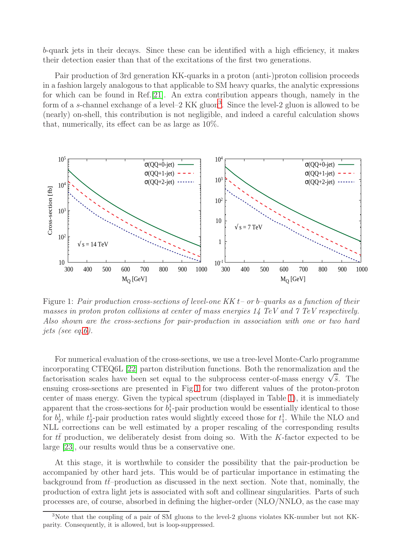b-quark jets in their decays. Since these can be identified with a high efficiency, it makes their detection easier than that of the excitations of the first two generations.

Pair production of 3rd generation KK-quarks in a proton (anti-)proton collision proceeds in a fashion largely analogous to that applicable to SM heavy quarks, the analytic expressions for which can be found in Ref.[\[21\]](#page-17-0). An extra contribution appears though, namely in the form of a s-channel exchange of a level–2 KK gluon<sup>[3](#page-5-0)</sup>. Since the level-2 gluon is allowed to be (nearly) on-shell, this contribution is not negligible, and indeed a careful calculation shows that, numerically, its effect can be as large as 10%.



<span id="page-5-1"></span>Figure 1: Pair production cross-sections of level-one KK  $t$  – or b–quarks as a function of their masses in proton proton collisions at center of mass energies 14 TeV and 7 TeV respectively. Also shown are the cross-sections for pair-production in association with one or two hard jets (see eq[.6\)](#page-6-0).

For numerical evaluation of the cross-sections, we use a tree-level Monte-Carlo programme incorporating CTEQ6L [\[22\]](#page-17-1) parton distribution functions. Both the renormalization and the factorisation scales have been set equal to the subprocess center-of-mass energy  $\sqrt{\hat{s}}$ . The ensuing cross-sections are presented in Fig[.1](#page-5-1) for two different values of the proton-proton center of mass energy. Given the typical spectrum (displayed in Table [1\)](#page-4-0), it is immediately apparent that the cross-sections for  $b_1^1$ -pair production would be essentially identical to those for  $b_2^1$ , while  $t_2^1$ -pair production rates would slightly exceed those for  $t_1^1$ . While the NLO and NLL corrections can be well estimated by a proper rescaling of the corresponding results for tt production, we deliberately desist from doing so. With the K-factor expected to be large [\[23\]](#page-17-2), our results would thus be a conservative one.

At this stage, it is worthwhile to consider the possibility that the pair-production be accompanied by other hard jets. This would be of particular importance in estimating the background from  $tt$ –production as discussed in the next section. Note that, nominally, the production of extra light jets is associated with soft and collinear singularities. Parts of such processes are, of course, absorbed in defining the higher-order (NLO/NNLO, as the case may

<span id="page-5-0"></span><sup>3</sup>Note that the coupling of a pair of SM gluons to the level-2 gluons violates KK-number but not KKparity. Consequently, it is allowed, but is loop-suppressed.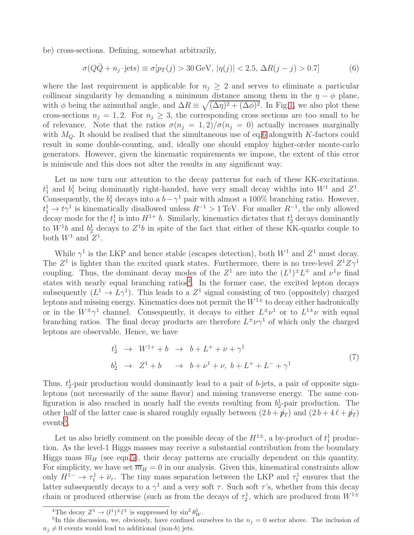be) cross-sections. Defining, somewhat arbitrarily,

<span id="page-6-0"></span>
$$
\sigma(Q\bar{Q} + n_j - \text{jets}) \equiv \sigma[p_T(j) > 30 \,\text{GeV}, |\eta(j)| < 2.5, \,\Delta R(j - j) > 0.7] \tag{6}
$$

where the last requirement is applicable for  $n_i \geq 2$  and serves to eliminate a particular collinear singularity by demanding a minimum distance among them in the  $\eta - \phi$  plane, with  $\phi$  being the azimuthal angle, and  $\Delta R \equiv \sqrt{(\Delta \eta)^2 + (\Delta \phi)^2}$ . In Fig[.1,](#page-5-1) we also plot these cross-sections  $n_j = 1, 2$ . For  $n_j \geq 3$ , the corresponding cross sections are too small to be of relevance. Note that the ratios  $\sigma(n_j = 1, 2)/\sigma(n_j = 0)$  actually increases marginally with  $M_{\odot}$ . It should be realised that the simultaneous use of eq[.6](#page-6-0) alongwith K-factors could result in some double-counting, and, ideally one should employ higher-order monte-carlo generators. However, given the kinematic requirements we impose, the extent of this error is miniscule and this does not alter the results in any significant way.

Let us now turn our attention to the decay patterns for each of these KK-excitations.  $t_1^1$  and  $b_1^1$  being dominantly right-handed, have very small decay widths into  $W^1$  and  $Z^1$ . Consequently, the  $b_1^1$  decays into a  $b-\gamma^1$  pair with almost a 100% branching ratio. However,  $t_1^1 \to t_1^1$  is kinematically disallowed unless  $R^{-1} > 1$  TeV. For smaller  $R^{-1}$ , the only allowed decay mode for the  $t_1^1$  is into  $H^{1+}$  b. Similarly, kinematics dictates that  $t_2^1$  decays dominantly to  $W^1b$  and  $b_2^1$  decays to  $Z^1b$  in spite of the fact that either of these KK-quarks couple to both  $W^1$  and  $Z^1$ .

While  $\gamma^1$  is the LKP and hence stable (escapes detection), both  $W^1$  and  $Z^1$  must decay. The  $Z^1$  is lighter than the excited quark states. Furthermore, there is no tree-level  $Z^1 Z \gamma^1$ coupling. Thus, the dominant decay modes of the  $Z^1$  are into the  $(L^1)^{\pm}L^{\mp}$  and  $\nu^1\nu$  final states with nearly equal branching ratios<sup>[4](#page-6-1)</sup>. In the former case, the excited lepton decays subsequently  $(L^1 \to L\gamma^1)$ . This leads to a  $Z^1$  signal consisting of two (oppositely) charged leptons and missing energy. Kinematics does not permit the  $W^{1\pm}$  to decay either hadronically or in the  $W^{\pm}\gamma^{1}$  channel. Consequently, it decays to either  $L^{\pm}\nu^{1}$  or to  $L^{1\pm}\nu$  with equal branching ratios. The final decay products are therefore  $L^{\pm}\nu\gamma^1$  of which only the charged leptons are observable. Hence, we have

$$
t_2^1 \to W^{1+} + b \to b + L^+ + \nu + \gamma^1
$$
  
\n
$$
b_2^1 \to Z^1 + b \to b + \nu^1 + \nu, b + L^+ + L^- + \gamma^1
$$
\n(7)

Thus,  $t_2^1$ -pair production would dominantly lead to a pair of b-jets, a pair of opposite signleptons (not necessarily of the same flavor) and missing transverse energy. The same configuration is also reached in nearly half the events resulting from  $b_2^1$ -pair production. The other half of the latter case is shared roughly equally between  $(2 b + p_T)$  and  $(2 b + 4 \ell + p_T)$  $events<sup>5</sup>$  $events<sup>5</sup>$  $events<sup>5</sup>$ .

Let us also briefly comment on the possible decay of the  $H^{1\pm}$ , a by-product of  $t_1^1$  production. As the level-1 Higgs masses may receive a substantial contribution from the boundary Higgs mass  $\overline{m}_H$  (see eqn[.5\)](#page-3-0), their decay patterns are crucially dependent on this quantity. For simplicity, we have set  $\overline{m}_H = 0$  in our analysis. Given this, kinematical constraints allow only  $H^{1-} \to \tau_1^1 + \bar{\nu}_\tau$ . The tiny mass separation between the LKP and  $\tau_1^1$  ensures that the latter subsequently decays to a  $\gamma^1$  and a very soft  $\tau$ . Such soft  $\tau$ 's, whether from this decay chain or produced otherwise (such as from the decays of  $\tau_2^1$ , which are produced from  $W^{1\pm}$ 

<span id="page-6-1"></span><sup>&</sup>lt;sup>4</sup>The decay  $Z^1 \to (l^1)^{\pm} l^{\mp}$  is suppressed by  $\sin^2 \theta_W^1$ .

<span id="page-6-2"></span><sup>&</sup>lt;sup>5</sup>In this discussion, we, obviously, have confined ourselves to the  $n_j = 0$  sector above. The inclusion of  $n_i \neq 0$  events would lead to additional (non-b) jets.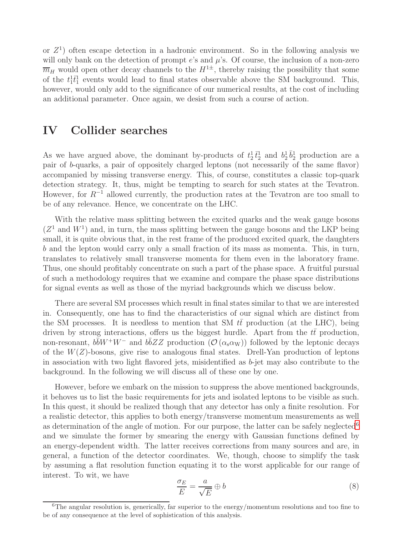or  $Z^1$ ) often escape detection in a hadronic environment. So in the following analysis we will only bank on the detection of prompt  $e$ 's and  $\mu$ 's. Of course, the inclusion of a non-zero  $\overline{m}_H$  would open other decay channels to the  $H^{1\pm}$ , thereby raising the possibility that some of the  $t_1^1 \bar{t}_1^1$  events would lead to final states observable above the SM background. This, however, would only add to the significance of our numerical results, at the cost of including an additional parameter. Once again, we desist from such a course of action.

### IV Collider searches

As we have argued above, the dominant by-products of  $t_2^1 \bar{t}_2^1$  and  $b_2^1 \bar{b}_2^1$  production are a pair of b-quarks, a pair of oppositely charged leptons (not necessarily of the same flavor) accompanied by missing transverse energy. This, of course, constitutes a classic top-quark detection strategy. It, thus, might be tempting to search for such states at the Tevatron. However, for  $R^{-1}$  allowed currently, the production rates at the Tevatron are too small to be of any relevance. Hence, we concentrate on the LHC.

With the relative mass splitting between the excited quarks and the weak gauge bosons  $(Z<sup>1</sup>$  and  $W<sup>1</sup>$ ) and, in turn, the mass splitting between the gauge bosons and the LKP being small, it is quite obvious that, in the rest frame of the produced excited quark, the daughters b and the lepton would carry only a small fraction of its mass as momenta. This, in turn, translates to relatively small transverse momenta for them even in the laboratory frame. Thus, one should profitably concentrate on such a part of the phase space. A fruitful pursual of such a methodology requires that we examine and compare the phase space distributions for signal events as well as those of the myriad backgrounds which we discuss below.

There are several SM processes which result in final states similar to that we are interested in. Consequently, one has to find the characteristics of our signal which are distinct from the SM processes. It is needless to mention that SM  $t\bar{t}$  production (at the LHC), being driven by strong interactions, offers us the biggest hurdle. Apart from the  $t\bar{t}$  production, non-resonant,  $b\bar{b}W^+W^-$  and  $b\bar{b}ZZ$  production  $(\mathcal{O}(\alpha_s\alpha_W))$  followed by the leptonic decays of the  $W(Z)$ -bosons, give rise to analogous final states. Drell-Yan production of leptons in association with two light flavored jets, misidentified as  $b$ -jet may also contribute to the background. In the following we will discuss all of these one by one.

However, before we embark on the mission to suppress the above mentioned backgrounds, it behoves us to list the basic requirements for jets and isolated leptons to be visible as such. In this quest, it should be realized though that any detector has only a finite resolution. For a realistic detector, this applies to both energy/transverse momentum measurements as well as determination of the angle of motion. For our purpose, the latter can be safely neglected<sup>[6](#page-7-0)</sup> and we simulate the former by smearing the energy with Gaussian functions defined by an energy-dependent width. The latter receives corrections from many sources and are, in general, a function of the detector coordinates. We, though, choose to simplify the task by assuming a flat resolution function equating it to the worst applicable for our range of interest. To wit, we have

$$
\frac{\sigma_E}{E} = \frac{a}{\sqrt{E}} \oplus b \tag{8}
$$

<span id="page-7-0"></span> $6$ The angular resolution is, generically, far superior to the energy/momentum resolutions and too fine to be of any consequence at the level of sophistication of this analysis.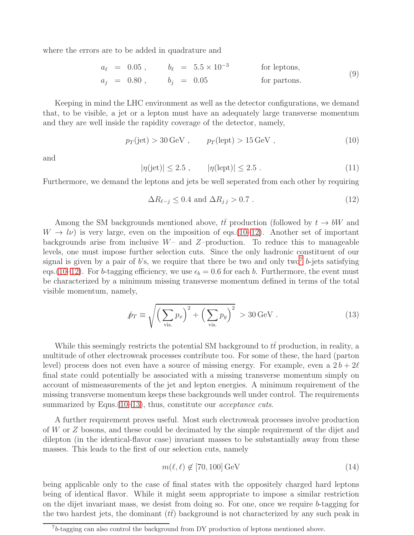where the errors are to be added in quadrature and

$$
a_{\ell} = 0.05
$$
,  $b_{\ell} = 5.5 \times 10^{-3}$  for leptons,  
\n $a_j = 0.80$ ,  $b_j = 0.05$  for partons. (9)

Keeping in mind the LHC environment as well as the detector configurations, we demand that, to be visible, a jet or a lepton must have an adequately large transverse momentum and they are well inside the rapidity coverage of the detector, namely,

<span id="page-8-0"></span>
$$
p_T(\text{jet}) > 30 \,\text{GeV} \;, \qquad p_T(\text{lept}) > 15 \,\text{GeV} \;, \tag{10}
$$

and

$$
|\eta(\text{jet})| \le 2.5 , \qquad |\eta(\text{lept})| \le 2.5 . \tag{11}
$$

Furthermore, we demand the leptons and jets be well seperated from each other by requiring

<span id="page-8-1"></span>
$$
\Delta R_{\ell-j} \le 0.4 \text{ and } \Delta R_{j,j} > 0.7 \tag{12}
$$

Among the SM backgrounds mentioned above,  $t\bar{t}$  production (followed by  $t \to bW$  and  $W \to l\nu$ ) is very large, even on the imposition of eqs.[\(10–](#page-8-0)[12\)](#page-8-1). Another set of important backgrounds arise from inclusive  $W-$  and  $Z$ -production. To reduce this to manageable levels, one must impose further selection cuts. Since the only hadronic constituent of our signal is given by a pair of b's, we require that there be two and only two<sup>[7](#page-8-2)</sup> b-jets satisfying eqs.[\(10–](#page-8-0)[12\)](#page-8-1). For b-tagging efficiency, we use  $\epsilon_b = 0.6$  for each b. Furthermore, the event must be characterized by a minimum missing transverse momentum defined in terms of the total visible momentum, namely,

<span id="page-8-3"></span>
$$
\hat{p}_T \equiv \sqrt{\left(\sum_{\text{vis.}} p_x\right)^2 + \left(\sum_{\text{vis.}} p_y\right)^2} > 30 \,\text{GeV} \,. \tag{13}
$$

While this seemingly restricts the potential SM background to  $t\bar{t}$  production, in reality, a multitude of other electroweak processes contribute too. For some of these, the hard (parton level) process does not even have a source of missing energy. For example, even a  $2b+2\ell$ final state could potentially be associated with a missing transverse momentum simply on account of mismeasurements of the jet and lepton energies. A minimum requirement of the missing transverse momentum keeps these backgrounds well under control. The requirements summarized by Eqns.  $(10-13)$  $(10-13)$ , thus, constitute our *acceptance cuts*.

A further requirement proves useful. Most such electroweak processes involve production of W or Z bosons, and these could be decimated by the simple requirement of the dijet and dilepton (in the identical-flavor case) invariant masses to be substantially away from these masses. This leads to the first of our selection cuts, namely

<span id="page-8-4"></span>
$$
m(\ell, \ell) \notin [70, 100] \,\text{GeV} \tag{14}
$$

being applicable only to the case of final states with the oppositely charged hard leptons being of identical flavor. While it might seem appropriate to impose a similar restriction on the dijet invariant mass, we desist from doing so. For one, once we require b-tagging for the two hardest jets, the dominant  $(tt)$  background is not characterized by any such peak in

<span id="page-8-2"></span><sup>&</sup>lt;sup>7</sup>b-tagging can also control the background from DY production of leptons mentioned above.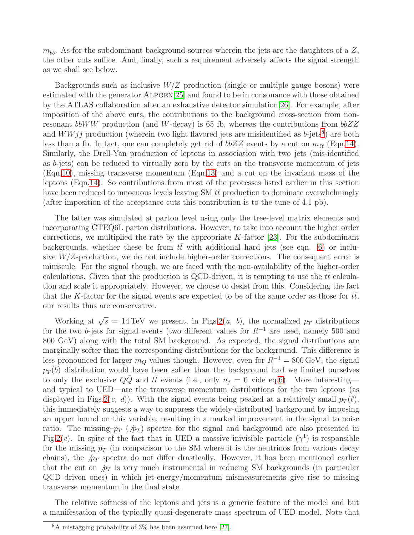$m_{b\bar{b}}$ . As for the subdominant background sources wherein the jets are the daughters of a Z, the other cuts suffice. And, finally, such a requirement adversely affects the signal strength as we shall see below.

Backgrounds such as inclusive  $W/Z$  production (single or multiple gauge bosons) were estimated with the generator ALPGEN[\[25\]](#page-17-3) and found to be in consonance with those obtained by the ATLAS collaboration after an exhaustive detector simulation[\[26\]](#page-17-4). For example, after imposition of the above cuts, the contributions to the background cross-section from nonresonant bbWW production (and W-decay) is 65 fb, whereas the contributions from  $bbZZ$ and  $WWjj$  production (wherein two light flavored jets are misidentified as b-jets<sup>[8](#page-9-0)</sup>) are both less than a fb. In fact, one can completely get rid of  $bbZZ$  events by a cut on  $m_{\ell\ell}$  (Eqn[.14\)](#page-8-4). Similarly, the Drell-Yan production of leptons in association with two jets (mis-identified as b-jets) can be reduced to virtually zero by the cuts on the transverse momentum of jets (Eqn[.10\)](#page-8-0), missing transverse momentum (Eqn[.13\)](#page-8-3) and a cut on the invariant mass of the leptons (Eqn[.14\)](#page-8-4). So contributions from most of the processes listed earlier in this section have been reduced to innocuous levels leaving SM  $t\bar{t}$  production to dominate overwhelmingly (after imposition of the acceptance cuts this contribution is to the tune of 4.1 pb).

The latter was simulated at parton level using only the tree-level matrix elements and incorporating CTEQ6L parton distributions. However, to take into account the higher order corrections, we multiplied the rate by the appropriate  $K$ -factor [\[23\]](#page-17-2). For the subdominant backgrounds, whether these be from  $t\bar{t}$  with additional hard jets (see eqn. [6\)](#page-6-0) or inclusive  $W/Z$ -production, we do not include higher-order corrections. The consequent error is miniscule. For the signal though, we are faced with the non-availability of the higher-order calculations. Given that the production is QCD-driven, it is tempting to use the  $t\bar{t}$  calculation and scale it appropriately. However, we choose to desist from this. Considering the fact that the K-factor for the signal events are expected to be of the same order as those for  $tt$ , our results thus are conservative.

Working at  $\sqrt{s} = 14 \,\text{TeV}$  we present, in Figs. 2(*a*, *b*), the normalized  $p_T$  distributions for the two b-jets for signal events (two different values for  $R^{-1}$  are used, namely 500 and 800 GeV) along with the total SM background. As expected, the signal distributions are marginally softer than the corresponding distributions for the background. This difference is less pronounced for larger  $m_Q$  values though. However, even for  $R^{-1} = 800 \,\text{GeV}$ , the signal  $p_T(b)$  distribution would have been softer than the background had we limited ourselves to only the exclusive  $QQ$  and  $t\bar{t}$  events (i.e., only  $n_j = 0$  vide eq[.6\)](#page-6-0). More interesting and typical to UED—are the transverse momentum distributions for the two leptons (as displayed in Figs.  $2(c, d)$ . With the signal events being peaked at a relatively small  $p_T(\ell)$ , this immediately suggests a way to suppress the widely-distributed background by imposing an upper bound on this variable, resulting in a marked improvement in the signal to noise ratio. The missing– $p_T$  ( $/p_T$ ) spectra for the signal and background are also presented in Fig. 2(e). In spite of the fact that in UED a massive inivisible particle  $(\gamma^1)$  is responsible for the missing  $p_T$  (in comparison to the SM where it is the neutrinos from various decay chains), the  $/p<sub>T</sub>$  spectra do not differ drastically. However, it has been mentioned earlier that the cut on  $/p<sub>T</sub>$  is very much instrumental in reducing SM backgrounds (in particular QCD driven ones) in which jet-energy/momentum mismeasurements give rise to missing transverse momentum in the final state.

The relative softness of the leptons and jets is a generic feature of the model and but a manifestation of the typically quasi-degenerate mass spectrum of UED model. Note that

<span id="page-9-0"></span><sup>8</sup>A mistagging probability of 3% has been assumed here [\[27\]](#page-17-5).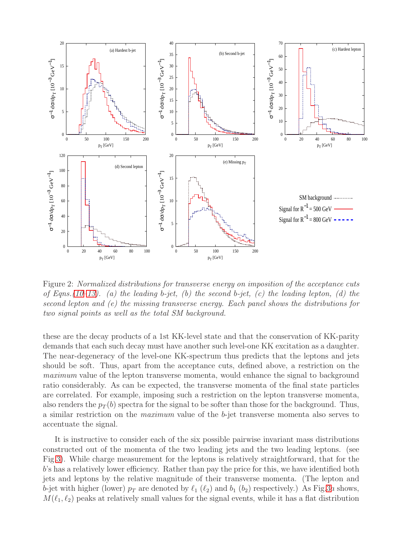

<span id="page-10-0"></span>Figure 2: Normalized distributions for transverse energy on imposition of the acceptance cuts of Eqns.[\(10–](#page-8-0)[13\)](#page-8-3). (a) the leading b-jet, (b) the second b-jet, (c) the leading lepton, (d) the second lepton and (e) the missing transverse energy. Each panel shows the distributions for two signal points as well as the total SM background.

these are the decay products of a 1st KK-level state and that the conservation of KK-parity demands that each such decay must have another such level-one KK excitation as a daughter. The near-degeneracy of the level-one KK-spectrum thus predicts that the leptons and jets should be soft. Thus, apart from the acceptance cuts, defined above, a restriction on the maximum value of the lepton transverse momenta, would enhance the signal to background ratio considerably. As can be expected, the transverse momenta of the final state particles are correlated. For example, imposing such a restriction on the lepton transverse momenta, also renders the  $p_T(b)$  spectra for the signal to be softer than those for the background. Thus, a similar restriction on the maximum value of the b-jet transverse momenta also serves to accentuate the signal.

It is instructive to consider each of the six possible pairwise invariant mass distributions constructed out of the momenta of the two leading jets and the two leading leptons. (see Fig[.3\)](#page-11-0). While charge measurement for the leptons is relatively straightforward, that for the b's has a relatively lower efficiency. Rather than pay the price for this, we have identified both jets and leptons by the relative magnitude of their transverse momenta. (The lepton and b-jet with higher (lower)  $p_T$  are denoted by  $\ell_1$  ( $\ell_2$ ) and  $b_1$  ( $b_2$ ) respectively.) As Fig[.3](#page-11-0)a shows,  $M(\ell_1, \ell_2)$  peaks at relatively small values for the signal events, while it has a flat distribution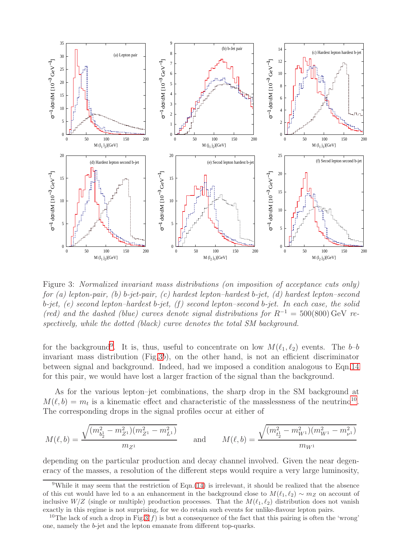

<span id="page-11-0"></span>Figure 3: Normalized invariant mass distributions (on imposition of acceptance cuts only) for (a) lepton-pair, (b) b-jet-pair, (c) hardest lepton-hardest b-jet, (d) hardest lepton-second b-jet, (e) second lepton–hardest b-jet,  $(f)$  second lepton–second b-jet. In each case, the solid (red) and the dashed (blue) curves denote signal distributions for  $R^{-1} = 500(800) \text{ GeV}$  respectively, while the dotted (black) curve denotes the total SM background.

for the background<sup>[9](#page-11-1)</sup>. It is, thus, useful to concentrate on low  $M(\ell_1, \ell_2)$  events. The b-b invariant mass distribution (Fig[.3](#page-11-0)b), on the other hand, is not an efficient discriminator between signal and background. Indeed, had we imposed a condition analogous to Eqn[.14](#page-8-4) for this pair, we would have lost a larger fraction of the signal than the background.

As for the various lepton–jet combinations, the sharp drop in the SM background at  $M(\ell, b) = m_t$  is a kinematic effect and characteristic of the masslessness of the neutrino<sup>[10](#page-11-2)</sup>. The corresponding drops in the signal profiles occur at either of

$$
M(\ell, b) = \frac{\sqrt{(m_{b_2^1}^2 - m_{Z^1}^2)(m_{Z^1}^2 - m_{L^1}^2)}}{m_{Z^1}} \quad \text{and} \quad M(\ell, b) = \frac{\sqrt{(m_{t_2^1}^2 - m_{W^1}^2)(m_{W^1}^2 - m_{\nu^1}^2)}}{m_{W^1}}
$$

depending on the particular production and decay channel involved. Given the near degeneracy of the masses, a resolution of the different steps would require a very large luminosity,

<span id="page-11-1"></span><sup>&</sup>lt;sup>9</sup>While it may seem that the restriction of Eqn.[\(14\)](#page-8-4) is irrelevant, it should be realized that the absence of this cut would have led to a an enhancement in the background close to  $M(\ell_1, \ell_2) \sim m_Z$  on account of inclusive  $W/Z$  (single or multiple) production processes. That the  $M(\ell_1, \ell_2)$  distribution does not vanish exactly in this regime is not surprising, for we do retain such events for unlike-flavour lepton pairs.

<span id="page-11-2"></span><sup>&</sup>lt;sup>10</sup>The lack of such a drop in Fig[.3\(](#page-11-0)f) is but a consequence of the fact that this pairing is often the 'wrong' one, namely the b-jet and the lepton emanate from different top-quarks.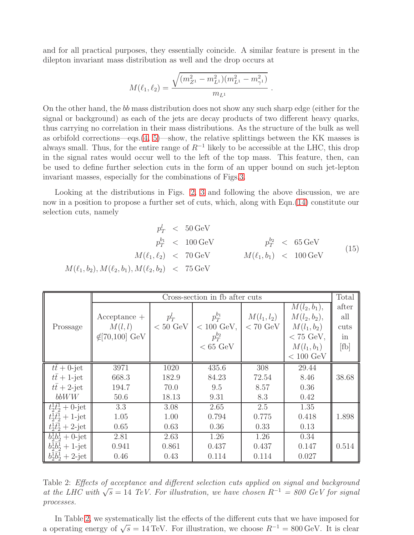and for all practical purposes, they essentially coincide. A similar feature is present in the dilepton invariant mass distribution as well and the drop occurs at

$$
M(\ell_1, \ell_2) = \frac{\sqrt{(m_{Z^1}^2 - m_{L^1}^2)(m_{L^1}^2 - m_{\gamma^1}^2)}}{m_{L^1}}
$$

.

On the other hand, the bb mass distribution does not show any such sharp edge (either for the signal or background) as each of the jets are decay products of two different heavy quarks, thus carrying no correlation in their mass distributions. As the structure of the bulk as well as orbifold corrections—eqs. $(4, 5)$  $(4, 5)$ —show, the relative splittings between the KK masses is always small. Thus, for the entire range of  $R^{-1}$  likely to be accessible at the LHC, this drop in the signal rates would occur well to the left of the top mass. This feature, then, can be used to define further selection cuts in the form of an upper bound on such jet-lepton invariant masses, especially for the combinations of Figs[.3.](#page-11-0)

Looking at the distributions in Figs. [2,](#page-10-0) [3](#page-11-0) and following the above discussion, we are now in a position to propose a further set of cuts, which, along with Eqn.[\(14\)](#page-8-4) constitute our selection cuts, namely

$$
p_T^l < 50 \,\text{GeV}
$$
\n
$$
p_T^{b_1} < 100 \,\text{GeV}
$$
\n
$$
M(\ell_1, \ell_2) < 70 \,\text{GeV}
$$
\n
$$
M(\ell_1, \ell_2) < 70 \,\text{GeV}
$$
\n
$$
M(\ell_1, b_1) < 100 \,\text{GeV}
$$
\n
$$
M(\ell_1, b_2), M(\ell_2, b_1), M(\ell_2, b_2) < 75 \,\text{GeV}
$$
\n
$$
(15)
$$

|                           | Cross-section in fb after cuts |                    |                      |                    |                     |       |  |
|---------------------------|--------------------------------|--------------------|----------------------|--------------------|---------------------|-------|--|
|                           |                                |                    |                      |                    | $M(l_2, b_1),$      | after |  |
|                           | $Acceptance +$                 | $p_T^l$            | $p_T^{b_1}$          | $M(l_1, l_2)$      | $M(l_2, b_2),$      | all   |  |
| Prossage                  | M(l, l)                        | $< 50 \text{ GeV}$ | $< 100 \text{ GeV},$ | $< 70 \text{ GeV}$ | $M(l_1, b_2)$       | cuts  |  |
|                           | $\notin$ [70,100] GeV          |                    | $p_T^{b_2}$          |                    | $<$ 75 GeV,         | in    |  |
|                           |                                |                    | $< 65 \text{ GeV}$   |                    | $M(l_1, b_1)$       | [fb]  |  |
|                           |                                |                    |                      |                    | $< 100 \text{ GeV}$ |       |  |
| $t\bar{t}+0$ -jet         | 3971                           | 1020               | 435.6                | 308                | 29.44               |       |  |
| $t\bar{t}+1$ -jet         | 668.3                          | 182.9              | 84.23                | 72.54              | 8.46                | 38.68 |  |
| $t\bar{t}+2$ -jet         | 194.7                          | 70.0               | 9.5                  | 8.57               | 0.36                |       |  |
| bbWW                      | 50.6                           | 18.13              | 9.31                 | 8.3                | 0.42                |       |  |
| $t_2^1\bar{t}_2^1+0$ -jet | 3.3                            | 3.08               | 2.65                 | 2.5                | 1.35                |       |  |
| $t_2^1\bar{t}_2^1+1$ -jet | 1.05                           | 1.00               | 0.794                | 0.775              | 0.418               | 1.898 |  |
| $t_2^1\bar{t}_2^1+2$ -jet | 0.65                           | 0.63               | 0.36                 | 0.33               | 0.13                |       |  |
| $b_2^1b_2^1+0$ -jet       | 2.81                           | 2.63               | 1.26                 | 1.26               | 0.34                |       |  |
| $b_2^1\bar{b}_2^1+1$ -jet | 0.941                          | 0.861              | 0.437                | 0.437              | 0.147               | 0.514 |  |
| $b_2^1\bar{b}_2^1+2$ -jet | 0.46                           | 0.43               | 0.114                | 0.114              | 0.027               |       |  |

<span id="page-12-0"></span>Table 2: Effects of acceptance and different selection cuts applied on signal and background at the LHC with  $\sqrt{s} = 14$  TeV. For illustration, we have chosen  $R^{-1} = 800$  GeV for signal processes.

In Table [2,](#page-12-0) we systematically list the effects of the different cuts that we have imposed for a operating energy of  $\sqrt{s} = 14 \text{ TeV}$ . For illustration, we choose  $R^{-1} = 800 \text{ GeV}$ . It is clear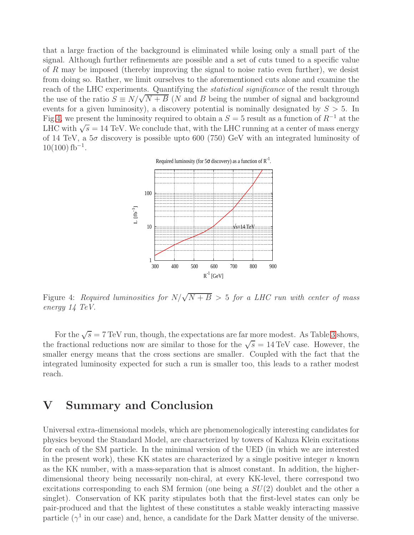that a large fraction of the background is eliminated while losing only a small part of the signal. Although further refinements are possible and a set of cuts tuned to a specific value of R may be imposed (thereby improving the signal to noise ratio even further), we desist from doing so. Rather, we limit ourselves to the aforementioned cuts alone and examine the reach of the LHC experiments. Quantifying the *statistical significance* of the result through the use of the ratio  $S \equiv N/\sqrt{N+B}$  (N and B being the number of signal and background events for a given luminosity), a discovery potential is nominally designated by  $S > 5$ . In Fig[.4,](#page-13-0) we present the luminosity required to obtain a  $S = 5$  result as a function of  $R^{-1}$  at the LHC with  $\sqrt{s} = 14$  TeV. We conclude that, with the LHC running at a center of mass energy of 14 TeV, a  $5\sigma$  discovery is possible upto 600 (750) GeV with an integrated luminosity of  $10(100)$  fb<sup>-1</sup>.

Required luminosity (for 5 $\sigma$  discovery) as a function of  $R^{-1}$ .



<span id="page-13-0"></span>Figure 4: Required luminosities for  $N/\sqrt{N+B} > 5$  for a LHC run with center of mass energy 14 TeV.

For the  $\sqrt{s} = 7$  TeV run, though, the expectations are far more modest. As Table [3](#page-14-0) shows, the fractional reductions now are similar to those for the  $\sqrt{s} = 14 \text{ TeV}$  case. However, the smaller energy means that the cross sections are smaller. Coupled with the fact that the integrated luminosity expected for such a run is smaller too, this leads to a rather modest reach.

### V Summary and Conclusion

Universal extra-dimensional models, which are phenomenologically interesting candidates for physics beyond the Standard Model, are characterized by towers of Kaluza Klein excitations for each of the SM particle. In the minimal version of the UED (in which we are interested in the present work), these KK states are characterized by a single positive integer  $n$  known as the KK number, with a mass-separation that is almost constant. In addition, the higherdimensional theory being necessarily non-chiral, at every KK-level, there correspond two excitations corresponding to each SM fermion (one being a  $SU(2)$  doublet and the other a singlet). Conservation of KK parity stipulates both that the first-level states can only be pair-produced and that the lightest of these constitutes a stable weakly interacting massive particle ( $\gamma^1$  in our case) and, hence, a candidate for the Dark Matter density of the universe.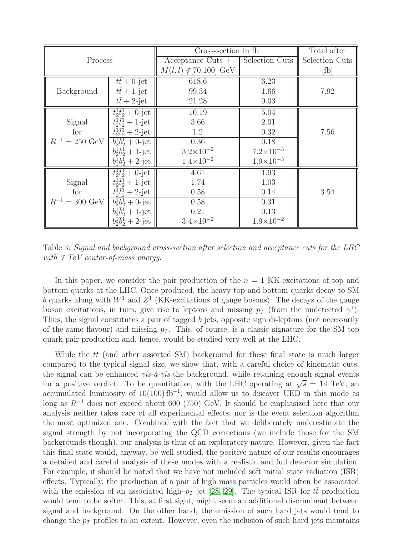|                            |                                         | Cross-section in fb                    | Total after          |                |  |
|----------------------------|-----------------------------------------|----------------------------------------|----------------------|----------------|--|
| Process                    |                                         | $Acceptance$ Cuts $+$                  | Selection Cuts       | Selection Cuts |  |
|                            |                                         | $M(l, l) \notin [70, 100] \text{ GeV}$ |                      | [fb]           |  |
|                            | $t\bar{t}+0$ -jet                       | 618.6                                  | 6.23                 |                |  |
| Background                 | $t\bar{t}+1$ -jet                       | 99.34                                  | 1.66                 | 7.92           |  |
|                            | $t\bar{t}+2$ -jet                       | 21.28                                  | 0.03                 |                |  |
|                            | $t_2^1\bar{t}_2^1+0$ -jet               | 10.19                                  | 5.04                 |                |  |
| Signal                     | $t_2^1\bar{t}_2^1+1$ -jet               | 3.66                                   | 2.01                 |                |  |
| for                        | $t_2^1\bar{t}_2^1+2$ -jet               | 1.2                                    | 0.32                 | 7.56           |  |
| $R^{-1} = 250 \text{ GeV}$ | $b_2^1b_2^1+0$ -jet                     | 0.36                                   | 0.18                 |                |  |
|                            | $b_2^1\bar{b}_2^1+1$ -jet               | $3.2 \times 10^{-2}$                   | $7.2 \times 10^{-3}$ |                |  |
|                            | $b_2^1\bar{b}_2^1+2$ -jet               | $1.4 \times 10^{-2}$                   | $1.9 \times 10^{-3}$ |                |  |
|                            | $\bar{t}_{2}^{1}\bar{t}_{2}^{1}+0$ -jet | 4.61                                   | 1.93                 |                |  |
| Signal                     | $t_2^1\bar{t}_2^1+1$ -jet               | 1.74                                   | 1.03                 |                |  |
| for                        | $t_2^1\bar{t}_2^1+2$ -jet               | 0.58                                   | 0.14                 | 3.54           |  |
| $R^{-1} = 300 \text{ GeV}$ | $b_2^1b_2^1+0$ -jet                     | 0.58                                   | 0.31                 |                |  |
|                            | $b_2^1\bar{b}_2^1+1$ -jet               | 0.21                                   | 0.13                 |                |  |
|                            | $b_2^1\bar{b}_2^1+2$ -jet               | $3.4 \times 10^{-2}$                   | $1.9 \times 10^{-2}$ |                |  |

<span id="page-14-0"></span>Table 3: Signal and background cross-section after selection and acceptance cuts for the LHC with  $\gamma$  TeV center-of-mass energy.

In this paper, we consider the pair production of the  $n = 1$  KK-excitations of top and bottom quarks at the LHC. Once produced, the heavy top and bottom quarks decay to SM b quarks along with  $W^1$  and  $Z^1$  (KK-excitations of gauge bosons). The decays of the gauge boson excitations, in turn, give rise to leptons and missing  $p_T$  (from the undetected  $\gamma^1$ ). Thus, the signal constitutes a pair of tagged b jets, opposite sign di-leptons (not necessarily of the same flavour) and missing  $p<sub>T</sub>$ . This, of course, is a classic signature for the SM top quark pair production and, hence, would be studied very well at the LHC.

While the  $tt$  (and other assorted SM) background for these final state is much larger compared to the typical signal size, we show that, with a careful choice of kinematic cuts, the signal can be enhanced *vis-à-vis* the background, while retaining enough signal events for a positive verdict. To be quantitative, with the LHC operating at  $\sqrt{s} = 14$  TeV, an accumulated luminosity of  $10(100)$  fb<sup>-1</sup>, would allow us to discover UED in this mode as long as  $R^{-1}$  does not exceed about 600 (750) GeV. It should be emphasized here that our analysis neither takes care of all experimental effects, nor is the event selection algorithm the most optimized one. Combined with the fact that we deliberately underestimate the signal strength by not incorporating the QCD corrections (we include those for the SM backgrounds though), our analysis is thus of an exploratory nature. However, given the fact this final state would, anyway, be well studied, the positive nature of our results encourages a detailed and careful analysis of these modes with a realistic and full detector simulation. For example, it should be noted that we have not included soft initial state radiation (ISR) effects. Typically, the production of a pair of high mass particles would often be associated with the emission of an associated high– $p_T$  jet [\[28,](#page-17-6) [29\]](#page-17-7). The typical ISR for  $t\bar{t}$  production would tend to be softer. This, at first sight, might seem an additional discriminant between signal and background. On the other hand, the emission of such hard jets would tend to change the  $p_T$  profiles to an extent. However, even the inclusion of such hard jets maintains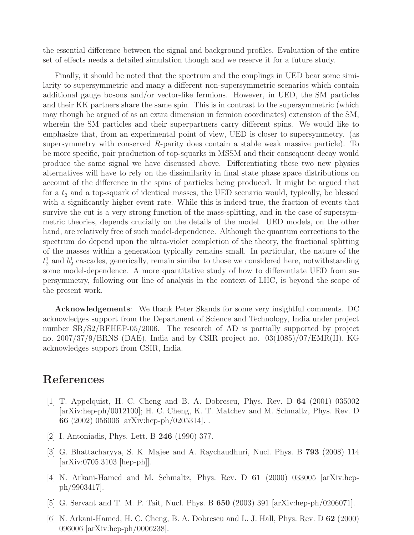the essential difference between the signal and background profiles. Evaluation of the entire set of effects needs a detailed simulation though and we reserve it for a future study.

Finally, it should be noted that the spectrum and the couplings in UED bear some similarity to supersymmetric and many a different non-supersymmetric scenarios which contain additional gauge bosons and/or vector-like fermions. However, in UED, the SM particles and their KK partners share the same spin. This is in contrast to the supersymmetric (which may though be argued of as an extra dimension in fermion coordinates) extension of the SM, wherein the SM particles and their superpartners carry different spins. We would like to emphasize that, from an experimental point of view, UED is closer to supersymmetry. (as supersymmetry with conserved R-parity does contain a stable weak massive particle). To be more specific, pair production of top-squarks in MSSM and their consequent decay would produce the same signal we have discussed above. Differentiating these two new physics alternatives will have to rely on the dissimilarity in final state phase space distributions on account of the difference in the spins of particles being produced. It might be argued that for a  $t_2^1$  and a top-squark of identical masses, the UED scenario would, typically, be blessed with a significantly higher event rate. While this is indeed true, the fraction of events that survive the cut is a very strong function of the mass-splitting, and in the case of supersymmetric theories, depends crucially on the details of the model. UED models, on the other hand, are relatively free of such model-dependence. Although the quantum corrections to the spectrum do depend upon the ultra-violet completion of the theory, the fractional splitting of the masses within a generation typically remains small. In particular, the nature of the  $t_2^1$  and  $b_2^1$  cascades, generically, remain similar to those we considered here, notwithstanding some model-dependence. A more quantitative study of how to differentiate UED from supersymmetry, following our line of analysis in the context of LHC, is beyond the scope of the present work.

Acknowledgements: We thank Peter Skands for some very insightful comments. DC acknowledges support from the Department of Science and Technology, India under project number  $SR/S2/RFHEP-05/2006$ . The research of AD is partially supported by project no. 2007/37/9/BRNS (DAE), India and by CSIR project no. 03(1085)/07/EMR(II). KG acknowledges support from CSIR, India.

### <span id="page-15-0"></span>References

- [1] T. Appelquist, H. C. Cheng and B. A. Dobrescu, Phys. Rev. D 64 (2001) 035002 [arXiv:hep-ph/0012100]; H. C. Cheng, K. T. Matchev and M. Schmaltz, Phys. Rev. D 66 (2002) 056006 [arXiv:hep-ph/0205314]. .
- <span id="page-15-2"></span><span id="page-15-1"></span>[2] I. Antoniadis, Phys. Lett. B 246 (1990) 377.
- [3] G. Bhattacharyya, S. K. Majee and A. Raychaudhuri, Nucl. Phys. B 793 (2008) 114 [arXiv:0705.3103 [hep-ph]].
- <span id="page-15-3"></span>[4] N. Arkani-Hamed and M. Schmaltz, Phys. Rev. D 61 (2000) 033005 [arXiv:hepph/9903417].
- <span id="page-15-5"></span><span id="page-15-4"></span>[5] G. Servant and T. M. P. Tait, Nucl. Phys. B 650 (2003) 391 [arXiv:hep-ph/0206071].
- [6] N. Arkani-Hamed, H. C. Cheng, B. A. Dobrescu and L. J. Hall, Phys. Rev. D 62 (2000) 096006 [arXiv:hep-ph/0006238].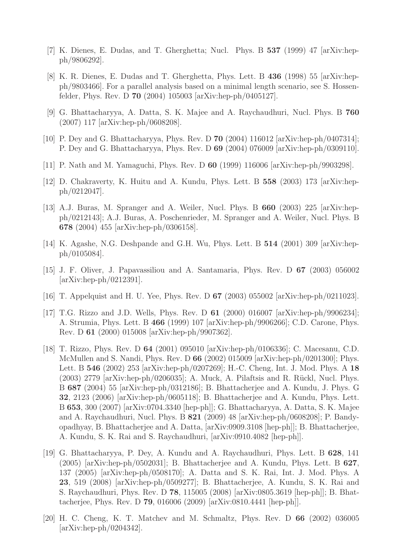- <span id="page-16-1"></span><span id="page-16-0"></span>[7] K. Dienes, E. Dudas, and T. Gherghetta; Nucl. Phys. B 537 (1999) 47 [arXiv:hepph/9806292].
- $[8]$  K. R. Dienes, E. Dudas and T. Gherghetta, Phys. Lett. B 436 (1998) 55  $\alpha$ Xiv:hepph/9803466]. For a parallel analysis based on a minimal length scenario, see S. Hossenfelder, Phys. Rev. D 70 (2004) 105003 [arXiv:hep-ph/0405127].
- <span id="page-16-3"></span><span id="page-16-2"></span>[9] G. Bhattacharyya, A. Datta, S. K. Majee and A. Raychaudhuri, Nucl. Phys. B 760 (2007) 117 [arXiv:hep-ph/0608208].
- <span id="page-16-4"></span>[10] P. Dey and G. Bhattacharyya, Phys. Rev. D 70 (2004) 116012 [arXiv:hep-ph/0407314]; P. Dey and G. Bhattacharyya, Phys. Rev. D 69 (2004) 076009 [arXiv:hep-ph/0309110].
- <span id="page-16-5"></span>[11] P. Nath and M. Yamaguchi, Phys. Rev. D 60 (1999) 116006 [arXiv:hep-ph/9903298].
- <span id="page-16-6"></span>[12] D. Chakraverty, K. Huitu and A. Kundu, Phys. Lett. B 558 (2003) 173 [arXiv:hepph/0212047].
- [13] A.J. Buras, M. Spranger and A. Weiler, Nucl. Phys. B 660 (2003) 225 [arXiv:hepph/0212143]; A.J. Buras, A. Poschenrieder, M. Spranger and A. Weiler, Nucl. Phys. B 678 (2004) 455 [arXiv:hep-ph/0306158].
- <span id="page-16-8"></span><span id="page-16-7"></span>[14] K. Agashe, N.G. Deshpande and G.H. Wu, Phys. Lett. B  $514$  (2001) 309 [arXiv:hepph/0105084].
- [15] J. F. Oliver, J. Papavassiliou and A. Santamaria, Phys. Rev. D 67 (2003) 056002 [arXiv:hep-ph/0212391].
- <span id="page-16-10"></span><span id="page-16-9"></span>[16] T. Appelquist and H. U. Yee, Phys. Rev. D 67 (2003) 055002 [arXiv:hep-ph/0211023].
- [17] T.G. Rizzo and J.D. Wells, Phys. Rev. D 61 (2000) 016007 [arXiv:hep-ph/9906234]; A. Strumia, Phys. Lett. B 466 (1999) 107 [arXiv:hep-ph/9906266]; C.D. Carone, Phys. Rev. D 61 (2000) 015008 [arXiv:hep-ph/9907362].
- <span id="page-16-11"></span>[18] T. Rizzo, Phys. Rev. D 64 (2001) 095010 [arXiv:hep-ph/0106336]; C. Macesanu, C.D. McMullen and S. Nandi, Phys. Rev. D 66 (2002) 015009 [arXiv:hep-ph/0201300]; Phys. Lett. B 546 (2002) 253 [arXiv:hep-ph/0207269]; H.-C. Cheng, Int. J. Mod. Phys. A 18  $(2003)$  2779 [arXiv:hep-ph/0206035]; A. Muck, A. Pilaftsis and R. Rückl, Nucl. Phys. B 687 (2004) 55 [arXiv:hep-ph/0312186]; B. Bhattacherjee and A. Kundu, J. Phys. G 32, 2123 (2006) [arXiv:hep-ph/0605118]; B. Bhattacherjee and A. Kundu, Phys. Lett. B 653, 300 (2007) [arXiv:0704.3340 [hep-ph]]; G. Bhattacharyya, A. Datta, S. K. Majee and A. Raychaudhuri, Nucl. Phys. B 821 (2009) 48 [arXiv:hep-ph/0608208]; P. Bandyopadhyay, B. Bhattacherjee and A. Datta, [arXiv:0909.3108 [hep-ph]]; B. Bhattacherjee, A. Kundu, S. K. Rai and S. Raychaudhuri, [arXiv:0910.4082 [hep-ph]].
- <span id="page-16-12"></span>[19] G. Bhattacharyya, P. Dey, A. Kundu and A. Raychaudhuri, Phys. Lett. B 628, 141  $(2005)$  [arXiv:hep-ph/0502031]; B. Bhattacherjee and A. Kundu, Phys. Lett. B 627, 137 (2005) [arXiv:hep-ph/0508170]; A. Datta and S. K. Rai, Int. J. Mod. Phys. A 23, 519 (2008) [arXiv:hep-ph/0509277]; B. Bhattacherjee, A. Kundu, S. K. Rai and S. Raychaudhuri, Phys. Rev. D 78, 115005 (2008) [arXiv:0805.3619 [hep-ph]]; B. Bhattacherjee, Phys. Rev. D 79, 016006 (2009) [arXiv:0810.4441 [hep-ph]].
- <span id="page-16-13"></span>[20] H. C. Cheng, K. T. Matchev and M. Schmaltz, Phys. Rev. D 66 (2002) 036005 [arXiv:hep-ph/0204342].